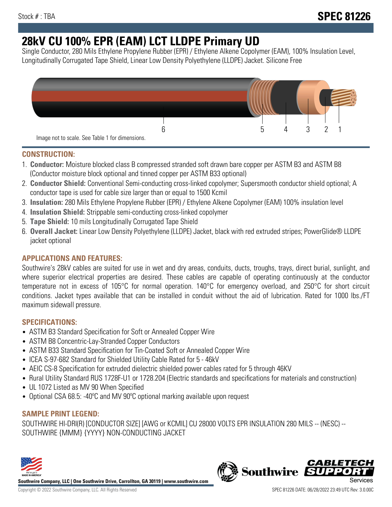# **28kV CU 100% EPR (EAM) LCT LLDPE Primary UD**

Single Conductor, 280 Mils Ethylene Propylene Rubber (EPR) / Ethylene Alkene Copolymer (EAM), 100% Insulation Level, Longitudinally Corrugated Tape Shield, Linear Low Density Polyethylene (LLDPE) Jacket. Silicone Free



## **CONSTRUCTION:**

- 1. **Conductor:** Moisture blocked class B compressed stranded soft drawn bare copper per ASTM B3 and ASTM B8 (Conductor moisture block optional and tinned copper per ASTM B33 optional)
- 2. **Conductor Shield:** Conventional Semi-conducting cross-linked copolymer; Supersmooth conductor shield optional; A conductor tape is used for cable size larger than or equal to 1500 Kcmil
- 3. **Insulation:** 280 Mils Ethylene Propylene Rubber (EPR) / Ethylene Alkene Copolymer (EAM) 100% insulation level
- 4. **Insulation Shield:** Strippable semi-conducting cross-linked copolymer
- 5. **Tape Shield:** 10 mils Longitudinally Corrugated Tape Shield
- 6. **Overall Jacket:** Linear Low Density Polyethylene (LLDPE) Jacket, black with red extruded stripes; PowerGlide® LLDPE jacket optional

## **APPLICATIONS AND FEATURES:**

Southwire's 28kV cables are suited for use in wet and dry areas, conduits, ducts, troughs, trays, direct burial, sunlight, and where superior electrical properties are desired. These cables are capable of operating continuously at the conductor temperature not in excess of 105°C for normal operation. 140°C for emergency overload, and 250°C for short circuit conditions. Jacket types available that can be installed in conduit without the aid of lubrication. Rated for 1000 lbs./FT maximum sidewall pressure.

## **SPECIFICATIONS:**

- ASTM B3 Standard Specification for Soft or Annealed Copper Wire
- ASTM B8 Concentric-Lay-Stranded Copper Conductors
- ASTM B33 Standard Specification for Tin-Coated Soft or Annealed Copper Wire
- ICEA S-97-682 Standard for Shielded Utility Cable Rated for 5 46kV
- AEIC CS-8 Specification for extruded dielectric shielded power cables rated for 5 through 46KV
- Rural Utility Standard RUS 1728F-U1 or 1728.204 (Electric standards and specifications for materials and construction)
- UL 1072 Listed as MV 90 When Specified
- Optional CSA 68.5: -40ºC and MV 90ºC optional marking available upon request

## **SAMPLE PRINT LEGEND:**

SOUTHWIRE HI-DRI(R) [CONDUCTOR SIZE] [AWG or KCMIL] CU 28000 VOLTS EPR INSULATION 280 MILS -- (NESC) -- SOUTHWIRE {MMM} {YYYY} NON-CONDUCTING JACKET



**Southwire Company, LLC | One Southwire Drive, Carrollton, GA 30119 | www.southwire.com**